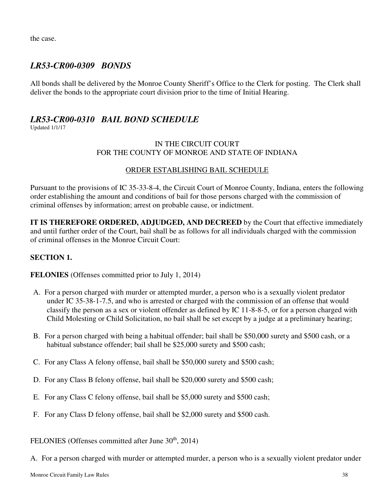the case.

### *LR53-CR00-0309 BONDS*

All bonds shall be delivered by the Monroe County Sheriff's Office to the Clerk for posting. The Clerk shall deliver the bonds to the appropriate court division prior to the time of Initial Hearing.

# *LR53-CR00-0310 BAIL BOND SCHEDULE*

Updated 1/1/17

#### IN THE CIRCUIT COURT FOR THE COUNTY OF MONROE AND STATE OF INDIANA

#### ORDER ESTABLISHING BAIL SCHEDULE

Pursuant to the provisions of IC 35-33-8-4, the Circuit Court of Monroe County, Indiana, enters the following order establishing the amount and conditions of bail for those persons charged with the commission of criminal offenses by information; arrest on probable cause, or indictment.

**IT IS THEREFORE ORDERED, ADJUDGED, AND DECREED** by the Court that effective immediately and until further order of the Court, bail shall be as follows for all individuals charged with the commission of criminal offenses in the Monroe Circuit Court:

#### **SECTION 1.**

**FELONIES** (Offenses committed prior to July 1, 2014)

- A. For a person charged with murder or attempted murder, a person who is a sexually violent predator under IC 35-38-1-7.5, and who is arrested or charged with the commission of an offense that would classify the person as a sex or violent offender as defined by IC 11-8-8-5, or for a person charged with Child Molesting or Child Solicitation, no bail shall be set except by a judge at a preliminary hearing;
- B. For a person charged with being a habitual offender; bail shall be \$50,000 surety and \$500 cash, or a habitual substance offender; bail shall be \$25,000 surety and \$500 cash;
- C. For any Class A felony offense, bail shall be \$50,000 surety and \$500 cash;
- D. For any Class B felony offense, bail shall be \$20,000 surety and \$500 cash;
- E. For any Class C felony offense, bail shall be \$5,000 surety and \$500 cash;
- F. For any Class D felony offense, bail shall be \$2,000 surety and \$500 cash.

FELONIES (Offenses committed after June 30<sup>th</sup>, 2014)

A. For a person charged with murder or attempted murder, a person who is a sexually violent predator under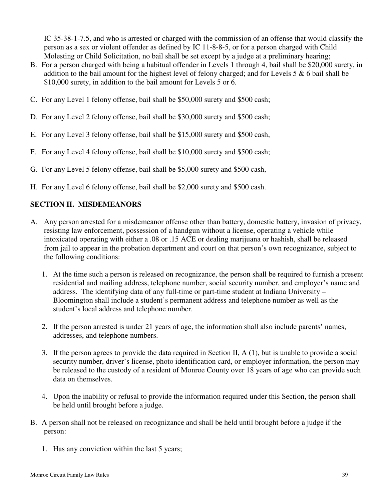IC 35-38-1-7.5, and who is arrested or charged with the commission of an offense that would classify the person as a sex or violent offender as defined by IC 11-8-8-5, or for a person charged with Child Molesting or Child Solicitation, no bail shall be set except by a judge at a preliminary hearing;

- B. For a person charged with being a habitual offender in Levels 1 through 4, bail shall be \$20,000 surety, in addition to the bail amount for the highest level of felony charged; and for Levels 5 & 6 bail shall be \$10,000 surety, in addition to the bail amount for Levels 5 or 6.
- C. For any Level 1 felony offense, bail shall be \$50,000 surety and \$500 cash;
- D. For any Level 2 felony offense, bail shall be \$30,000 surety and \$500 cash;
- E. For any Level 3 felony offense, bail shall be \$15,000 surety and \$500 cash,
- F. For any Level 4 felony offense, bail shall be \$10,000 surety and \$500 cash;
- G. For any Level 5 felony offense, bail shall be \$5,000 surety and \$500 cash,
- H. For any Level 6 felony offense, bail shall be \$2,000 surety and \$500 cash.

#### **SECTION II. MISDEMEANORS**

- A. Any person arrested for a misdemeanor offense other than battery, domestic battery, invasion of privacy, resisting law enforcement, possession of a handgun without a license, operating a vehicle while intoxicated operating with either a .08 or .15 ACE or dealing marijuana or hashish, shall be released from jail to appear in the probation department and court on that person's own recognizance, subject to the following conditions:
	- 1. At the time such a person is released on recognizance, the person shall be required to furnish a present residential and mailing address, telephone number, social security number, and employer's name and address. The identifying data of any full-time or part-time student at Indiana University – Bloomington shall include a student's permanent address and telephone number as well as the student's local address and telephone number.
	- 2. If the person arrested is under 21 years of age, the information shall also include parents' names, addresses, and telephone numbers.
	- 3. If the person agrees to provide the data required in Section II, A (1), but is unable to provide a social security number, driver's license, photo identification card, or employer information, the person may be released to the custody of a resident of Monroe County over 18 years of age who can provide such data on themselves.
	- 4. Upon the inability or refusal to provide the information required under this Section, the person shall be held until brought before a judge.
- B. A person shall not be released on recognizance and shall be held until brought before a judge if the person:
	- 1. Has any conviction within the last 5 years;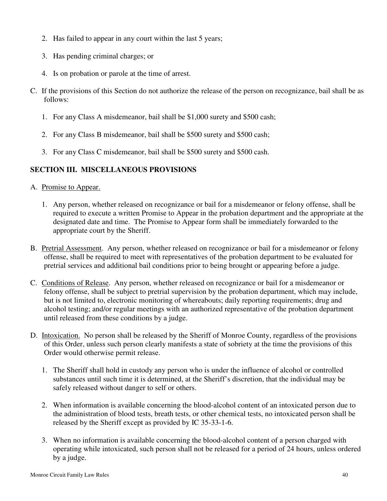- 2. Has failed to appear in any court within the last 5 years;
- 3. Has pending criminal charges; or
- 4. Is on probation or parole at the time of arrest.
- C. If the provisions of this Section do not authorize the release of the person on recognizance, bail shall be as follows:
	- 1. For any Class A misdemeanor, bail shall be \$1,000 surety and \$500 cash;
	- 2. For any Class B misdemeanor, bail shall be \$500 surety and \$500 cash;
	- 3. For any Class C misdemeanor, bail shall be \$500 surety and \$500 cash.

#### **SECTION III. MISCELLANEOUS PROVISIONS**

- A. Promise to Appear.
	- 1. Any person, whether released on recognizance or bail for a misdemeanor or felony offense, shall be required to execute a written Promise to Appear in the probation department and the appropriate at the designated date and time. The Promise to Appear form shall be immediately forwarded to the appropriate court by the Sheriff.
- B. Pretrial Assessment. Any person, whether released on recognizance or bail for a misdemeanor or felony offense, shall be required to meet with representatives of the probation department to be evaluated for pretrial services and additional bail conditions prior to being brought or appearing before a judge.
- C. Conditions of Release. Any person, whether released on recognizance or bail for a misdemeanor or felony offense, shall be subject to pretrial supervision by the probation department, which may include, but is not limited to, electronic monitoring of whereabouts; daily reporting requirements; drug and alcohol testing; and/or regular meetings with an authorized representative of the probation department until released from these conditions by a judge.
- D. Intoxication. No person shall be released by the Sheriff of Monroe County, regardless of the provisions of this Order, unless such person clearly manifests a state of sobriety at the time the provisions of this Order would otherwise permit release.
	- 1. The Sheriff shall hold in custody any person who is under the influence of alcohol or controlled substances until such time it is determined, at the Sheriff's discretion, that the individual may be safely released without danger to self or others.
	- 2. When information is available concerning the blood-alcohol content of an intoxicated person due to the administration of blood tests, breath tests, or other chemical tests, no intoxicated person shall be released by the Sheriff except as provided by IC 35-33-1-6.
	- 3. When no information is available concerning the blood-alcohol content of a person charged with operating while intoxicated, such person shall not be released for a period of 24 hours, unless ordered by a judge.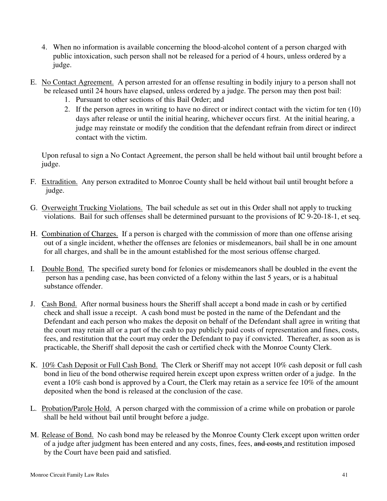- 4. When no information is available concerning the blood-alcohol content of a person charged with public intoxication, such person shall not be released for a period of 4 hours, unless ordered by a judge.
- E. No Contact Agreement. A person arrested for an offense resulting in bodily injury to a person shall not be released until 24 hours have elapsed, unless ordered by a judge. The person may then post bail:
	- 1. Pursuant to other sections of this Bail Order; and
	- 2. If the person agrees in writing to have no direct or indirect contact with the victim for ten (10) days after release or until the initial hearing, whichever occurs first. At the initial hearing, a judge may reinstate or modify the condition that the defendant refrain from direct or indirect contact with the victim.

Upon refusal to sign a No Contact Agreement, the person shall be held without bail until brought before a judge.

- F. Extradition. Any person extradited to Monroe County shall be held without bail until brought before a judge.
- G. Overweight Trucking Violations. The bail schedule as set out in this Order shall not apply to trucking violations. Bail for such offenses shall be determined pursuant to the provisions of IC 9-20-18-1, et seq.
- H. Combination of Charges. If a person is charged with the commission of more than one offense arising out of a single incident, whether the offenses are felonies or misdemeanors, bail shall be in one amount for all charges, and shall be in the amount established for the most serious offense charged.
- I. Double Bond. The specified surety bond for felonies or misdemeanors shall be doubled in the event the person has a pending case, has been convicted of a felony within the last 5 years, or is a habitual substance offender.
- J. Cash Bond. After normal business hours the Sheriff shall accept a bond made in cash or by certified check and shall issue a receipt. A cash bond must be posted in the name of the Defendant and the Defendant and each person who makes the deposit on behalf of the Defendant shall agree in writing that the court may retain all or a part of the cash to pay publicly paid costs of representation and fines, costs, fees, and restitution that the court may order the Defendant to pay if convicted. Thereafter, as soon as is practicable, the Sheriff shall deposit the cash or certified check with the Monroe County Clerk.
- K. 10% Cash Deposit or Full Cash Bond. The Clerk or Sheriff may not accept 10% cash deposit or full cash bond in lieu of the bond otherwise required herein except upon express written order of a judge. In the event a 10% cash bond is approved by a Court, the Clerk may retain as a service fee 10% of the amount deposited when the bond is released at the conclusion of the case.
- L. Probation/Parole Hold. A person charged with the commission of a crime while on probation or parole shall be held without bail until brought before a judge.
- M. Release of Bond. No cash bond may be released by the Monroe County Clerk except upon written order of a judge after judgment has been entered and any costs, fines, fees, and costs and restitution imposed by the Court have been paid and satisfied.